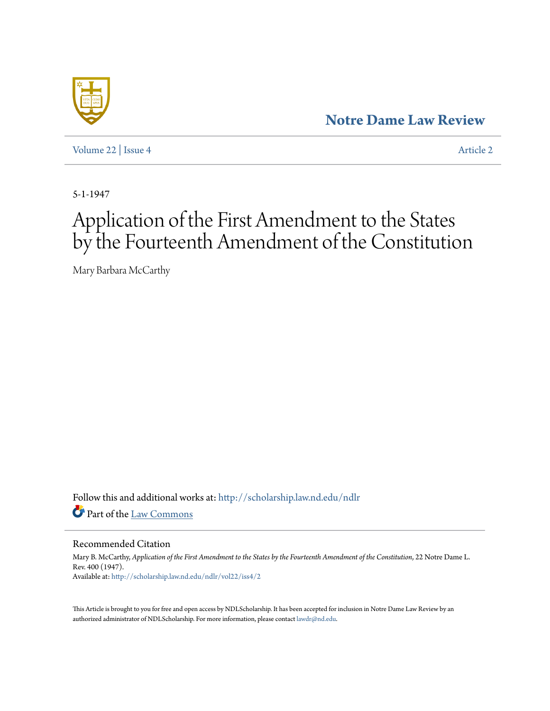## **[Notre Dame Law Review](http://scholarship.law.nd.edu/ndlr?utm_source=scholarship.law.nd.edu%2Fndlr%2Fvol22%2Fiss4%2F2&utm_medium=PDF&utm_campaign=PDFCoverPages)**

[Volume 22](http://scholarship.law.nd.edu/ndlr/vol22?utm_source=scholarship.law.nd.edu%2Fndlr%2Fvol22%2Fiss4%2F2&utm_medium=PDF&utm_campaign=PDFCoverPages) | [Issue 4](http://scholarship.law.nd.edu/ndlr/vol22/iss4?utm_source=scholarship.law.nd.edu%2Fndlr%2Fvol22%2Fiss4%2F2&utm_medium=PDF&utm_campaign=PDFCoverPages) [Article 2](http://scholarship.law.nd.edu/ndlr/vol22/iss4/2?utm_source=scholarship.law.nd.edu%2Fndlr%2Fvol22%2Fiss4%2F2&utm_medium=PDF&utm_campaign=PDFCoverPages)

5-1-1947

## Application of the First Amendment to the States by the Fourteenth Amendment of the Constitution

Mary Barbara McCarthy

Follow this and additional works at: [http://scholarship.law.nd.edu/ndlr](http://scholarship.law.nd.edu/ndlr?utm_source=scholarship.law.nd.edu%2Fndlr%2Fvol22%2Fiss4%2F2&utm_medium=PDF&utm_campaign=PDFCoverPages) Part of the [Law Commons](http://network.bepress.com/hgg/discipline/578?utm_source=scholarship.law.nd.edu%2Fndlr%2Fvol22%2Fiss4%2F2&utm_medium=PDF&utm_campaign=PDFCoverPages)

Recommended Citation

Mary B. McCarthy, *Application of the First Amendment to the States by the Fourteenth Amendment of the Constitution*, 22 Notre Dame L. Rev. 400 (1947). Available at: [http://scholarship.law.nd.edu/ndlr/vol22/iss4/2](http://scholarship.law.nd.edu/ndlr/vol22/iss4/2?utm_source=scholarship.law.nd.edu%2Fndlr%2Fvol22%2Fiss4%2F2&utm_medium=PDF&utm_campaign=PDFCoverPages)

This Article is brought to you for free and open access by NDLScholarship. It has been accepted for inclusion in Notre Dame Law Review by an authorized administrator of NDLScholarship. For more information, please contact [lawdr@nd.edu](mailto:lawdr@nd.edu).

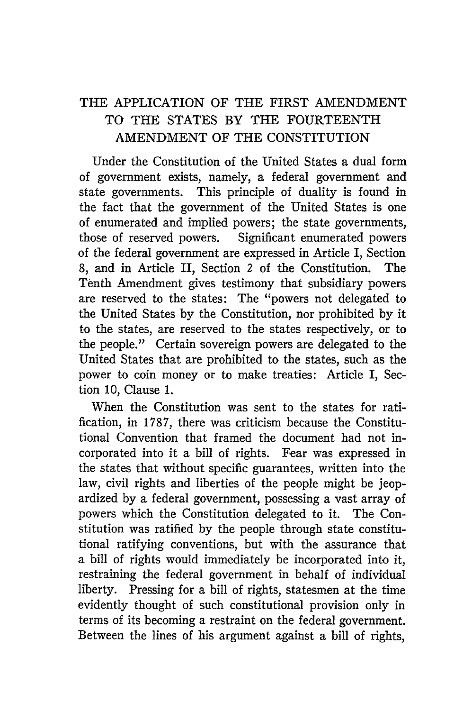## THE APPLICATION OF THE FIRST AMENDMENT TO THE STATES BY THE FOURTEENTH AMENDMENT OF THE CONSTITUTION

Under the Constitution of the United States a dual form of government exists, namely, a federal government and state governments. This principle of duality is found in the fact that the government of the United States is one of enumerated and implied powers; the state governments, those of reserved powers. Significant enumerated powers of the federal government are expressed in Article I, Section 8, and in Article II, Section 2 of the Constitution. The Tenth Amendment gives testimony that subsidiary powers are reserved to the states: The "powers not delegated to the United States by the Constitution, nor prohibited by it to the states, are reserved to the states respectively, or to the people." Certain sovereign powers are delegated to the United States that are prohibited to the states, such as the power to coin money or to make treaties: Article I, Section 10, Clause 1.

When the Constitution was sent to the states for ratification, in 1787, there was criticism because the Constitutional Convention that framed the document had not incorporated into it a bill of rights. Fear was expressed in the states that without specific guarantees, written into the law, civil rights and liberties of the people might be jeopardized by a federal government, possessing a vast array of powers which the Constitution delegated to it. The Constitution was ratified by the people through state constitutional ratifying conventions, but with the assurance that a bill of rights would immediately be incorporated into it, restraining the federal government in behalf of individual liberty. Pressing for a bill of rights, statesmen at the time evidently thought of such constitutional provision only in terms of its becoming a restraint on the federal government. Between the lines of his argument against a bill of rights,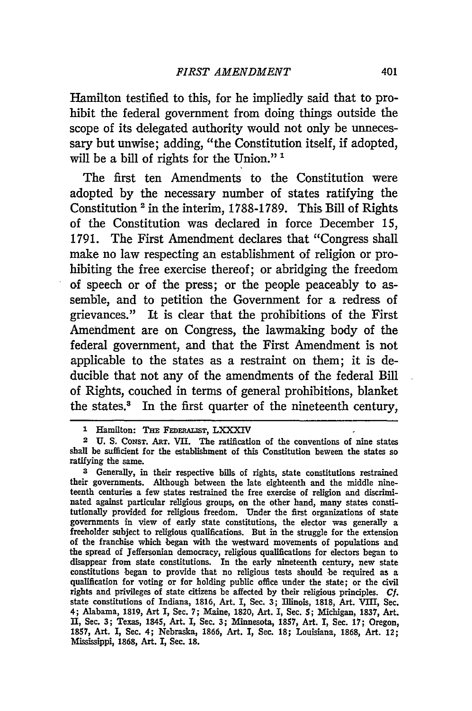Hamilton testified to this, for he impliedly said that to prohibit the federal government from doing things outside the scope of its delegated authority would not only be unnecessary but unwise; adding, "the Constitution itself, if adopted, will be a bill of rights for the Union."<sup>1</sup>

The first ten Amendments to the Constitution were adopted by the necessary number of states ratifying the Constitution **2** in the interim, 1788-1789. This Bill of Rights of the Constitution was declared in force December **15,** 1791. The First Amendment declares that "Congress shall make no law respecting an establishment of religion or prohibiting the free exercise thereof; or abridging the freedom of speech or of the press; or the people peaceably to assemble, and to petition the Government for a redress of grievances." It is clear that the prohibitions of the First Amendment are on Congress, the lawmaking body of the federal government, and that the First Amendment is not applicable to the states as a restraint on them; it is deducible that not any of the amendments of the federal Bill of Rights, couched in terms of general prohibitions, blanket the states.' In the first quarter of the nineteenth century,

**3** Generally, in their respective bills of rights, state constitutions restrained their governments. Although between the late eighteenth and the middle nineteenth centuries a few states restrained the free exercise of religion and discriminated against particular religious groups, on the other hand, many states constitutionally provided for religious freedom. Under the first organizations of state governments in view of early state constitutions, the elector was generally a freeholder subject to religious qualifications. But in the struggle for the extension of the franchise which began with the westward movements of populations and the spread of Jeffersonian democracy, religious qualifications for electors began to disappear from state constitutions. In the early nineteenth century, new state constitutions began to provide that no religious tests should be required as a qualification for voting or for holding public office under the state; or the civil rights and privileges of state citizens be affected **by** their religious principles. **Cf.** state constitutions of Indiana, **1816,** Art. I, Sec. **3;** Illinois, **1818,** Art. VIII, Sec. 4; Alabama, **1819,** Art I, Sec. **7;** Maine, **1820,** Art. I, Sec. **5;** Michigan, 1837, Art. **II,** Sec. **3;** Texas, 1845, Art. I, Sec. **3;** Minnesota, 1857, Art. I, Sec. **17;** Oregon, **1857,** Art. I, Sec. 4; Nebraska, **1866,** Art. I, Sec. **18;** Louisiana, **1868,** Art. 12; Mississippi, **1868,** Art. I, Sec. **18.**

**<sup>1</sup>** Hamilton: Tan **FEDERALTsr,** LXXXIV

**<sup>2</sup> U.** S. CONST. ART. VII. The ratification of the conventions of nine states shall be sufficient for the establishment of this Constitution beween the states so ratifying the same.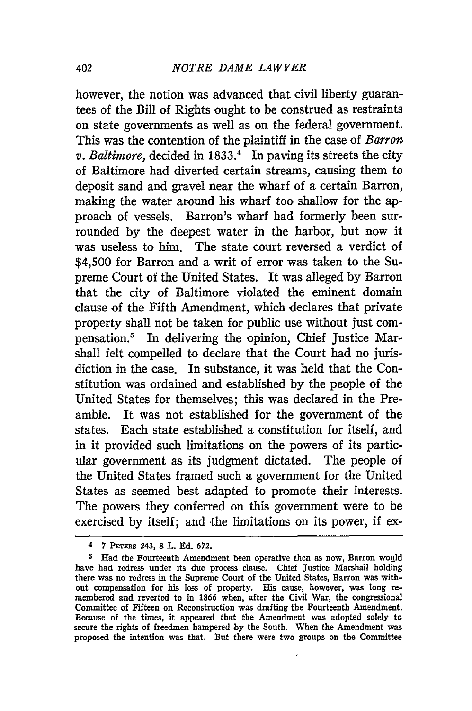however, the notion was advanced that civil liberty guarantees of the Bill of Rights ought to be construed as restraints on state governments as well as on the federal government. This was the contention of the plaintiff in the case of *Barron v. Baltimore,* decided in 1833.4 In paving its streets the city of Baltimore had diverted certain streams, causing them to deposit sand and gravel near the wharf of a certain Barron, making the water around his wharf too shallow for the approach of vessels. Barron's wharf had formerly been surrounded by the deepest water in the harbor, but now it was useless to him. The state court reversed a verdict **of** \$4,500 for Barron and a writ of error was taken to the Supreme Court of the United States. It was alleged by Barron that the city of Baltimore violated the eminent domain clause of the Fifth Amendment, which declares that private property shall not be taken for public use without just compensation.5 In delivering the opinion, Chief Justice Marshall felt compelled to declare that the Court had no jurisdiction in the case. In substance, it was held that the Constitution was ordained and established by the people of the United States for themselves; this was declared in the Preamble. It was not established for the government of the states. Each state established a constitution for itself, and in it provided such limitations on the powers of its particular government as its judgment dictated. The people of the United States framed such a government for the United States as seemed best adapted to promote their interests. The powers they conferred on this government were to be exercised by itself; and the limitations on its power, if ex-

<sup>4</sup>7 **PETERs** 243, **8** L. **Ed. 672.**

**<sup>5</sup>** Had the Fourteenth Amendment been operative then as now, Barron would have had redress under its due process clause. Chief Justice Marshall holding there was no redress in the Supreme Court of the United States, Barron was without compensation for his loss of property. His cause, however, was long remembered and reverted to in 1866 when, after the Civil War, the congressional Committee of Fifteen on Reconstruction was drafting the Fourteenth Amendment. Because of the times, it appeared that the Amendment was adopted solely to secure the rights of freedmen hampered by the South. When the Amendment was proposed the intention was that. But there were two groups on the Committee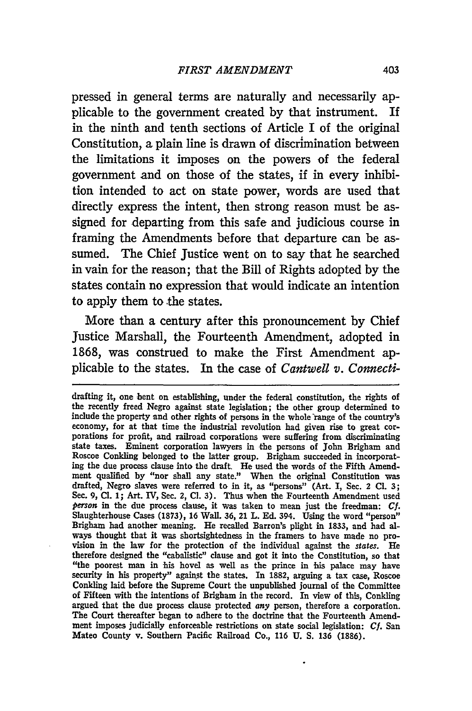pressed in general terms are naturally and necessarily applicable to the government created by that instrument. If in the ninth and tenth sections of Article I of the original Constitution, a plain line is drawn of discrimination between the limitations it imposes on the powers of the federal government and on those of the states, if in every inhibition intended to act on state power, words are used that directly express the intent, then strong reason must be assigned for departing from this safe and judicious course in framing the Amendments before that departure can be assumed. The Chief Justice went on to say that he searched in vain for the reason; that the Bill of Rights adopted by the states contain no expression that would indicate an intention to apply them to the states.

More than a century after this pronouncement by Chief Justice Marshall, the Fourteenth Amendment, adopted in 1868, was construed to make the First Amendment applicable to the states. In the case of *Cantwell v. Connecti-*

drafting it, one bent on establishing, under the federal constitution, the rights of the recently freed Negro against state legislation; the other group determined to include the property and other rights **of** persons in the whole range of the country's economy, for at that time the industrial revolution had given rise to great corporations for profit, and railroad corporations were suffering from discriminating state taxes. Eminent corporation lawyers in the persons of John Brigham and Roscoe Conkling belonged to the latter group. Brigham succeeded in incorporating the due process clause into the draft. He used the words of the Fifth Amendment qualified **by** "nor shall any state." When the original Constitution was drafted, Negro slaves were referred to in it, as "persons" (Art. **I,** Sec. 2 **Cl. 3;** Sec. **9, Cl. 1;** Art. IV, Sec. 2, **Cl. 3).** Thus when the Fourteenth Amendment used *person* in the due process clause, it was taken to mean just the freedman: **Cf.** Slaughterhouse Cases (1873), **16** Wall. **36,** 21 L. **Ed.** 394. Using the word "person" Brigham had another meaning. He recalled Barron's plight in **1833,** and had always thought that it was shortsightedness in the framers to have made no provision in the law for the protection of the individual against the *states.* He therefore designed the "cabalistic" clause and got it into the Constitution, so that "the poorest man in his hovel as well as the prince in his palace may have security in his property" against the states. In 1882, arguing a tax case, Roscoe Conkling laid before the Supreme Court the unpublished journal of the Committee of Fifteen with the intentions of Brigham in the record. In view of this, Conkling argued that the due process clause protected *any* person, therefore a corporation. The Court thereafter began to adhere to the doctrine that the Fourteenth Amendment imposes judicially enforceable restriotions on state social legislation: **Cf.** San Mateo County v. Southern Pacific Railroad **Co., 116 U. S. 136** (1886).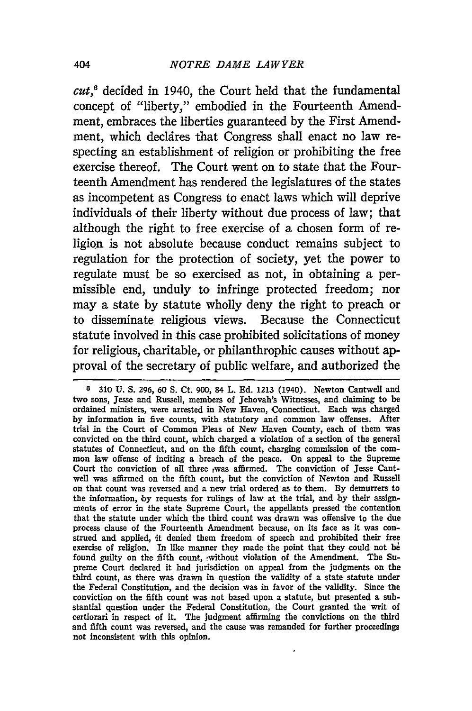*cut,6* decided in 1940, the Court held that the fundamental concept of "liberty," embodied in the Fourteenth Amendment, embraces the liberties guaranteed by the First Amendment, which declires that Congress shall enact no law respecting an establishment of religion or prohibiting the free exercise thereof. The Court went on to state that the Fourteenth Amendment has rendered the legislatures of the states as incompetent as Congress to enact laws which will deprive individuals of their liberty without due process of law; that although the right to free exercise of a chosen form of religion is not absolute because conduct remains subject to regulation for the protection of society, yet the power to regulate must be so exercised as not, in obtaining a permissible end, unduly to infringe protected freedom; nor may a state by statute wholly deny the right to preach or to disseminate religious views. Because the Connecticut statute involved in this case prohibited solicitations of money for religious, charitable, or philanthrophic causes without approval of the secretary of public welfare, and authorized the

**<sup>6</sup> 310 U. S.** 296, 60 **S.** Ct. 900, 84 L. **Ed. 1213** (1940). Newton Cantwell and two sons, Jesse and Russell, members of Jehovah's Witnesses, and claiming to be ordained ministers, were arrested in New Haven, Connecticut. Each ws charged **by** information in five counts, with statutory and common law offenses. After trial in the Court of Common Pleas of New Haven County, each of them was convicted on the third count, which charged a violation of a section of the general statutes of Connecticut, and on the fifth count, charging commission of the common law offense of inciting a breach of the peace. On appeal to the Supreme Court the conviction of all three .was affirmed. The conviction of Jesse Cantwell was affirmed on the fifth count, but the conviction of Newton and Russell on that count was reversed and a new trial ordered as to them. **By** demurrers to the information, **by** requests for rulings of law at the trial, and by their assignments of error in the state Supreme Court, the appellants pressed the contention that the statute under which the third count was drawn was offensive to the due process clause of the Fourteenth Amendment because, on its face as it was construed and applied, it denied them freedom of speech and prohibited their free exercise of religion. In like manner they made the point that they could not be found guilty on the fifth count, without violation of the Amendment. The Supreme Court declared it had jurisdiction on appeal from the judgments on the third count, as there was drawn in question the validity of a state statute under the Federal Constitution, and the decision was in favor of the validity. Since the conviction on the fifth count was not based upon a statute, but presented a substantial question under the Federal Constitution, the Court granted the writ of certiorari in respect of it. The judgment affirming the convictions on the third and fifth count was reversed, and the cause was remanded for further proceedings not inconsistent with this opinion.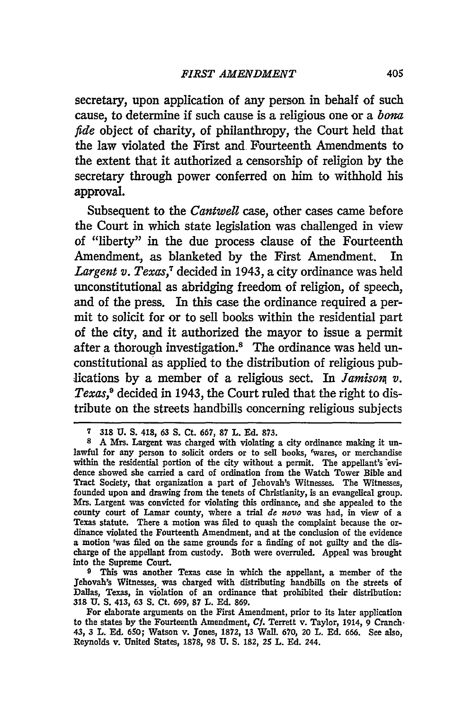secretary, upon application of any person in behalf of such cause, to determine if such cause is a religious one or a *bomz fide* object of charity, of philanthropy, the Court held that the law violated the First and Fourteenth Amendments to the extent that it authorized a censorship of religion by the secretary through power conferred on him to withhold his approval.

Subsequent to the *Cantwell* case, other cases came before the Court in which state legislation was challenged in view of "liberty" in the due process clause of the Fourteenth Amendment, as blanketed by the First Amendment. In Largent v. Texas,<sup>7</sup> decided in 1943, a city ordinance was held unconstitutional as abridging freedom of religion, of speech, and of the press. In this case the ordinance required a permit to solicit for or to sell books within the residential part of the city, and it authorized the mayor to issue a permit after a thorough investigation.8 The ordinance was held unconstitutional as applied to the distribution of religious publications **by** a member of a religious sect. In *Jamison v. Texas,9* decided in 1943, the Court ruled that the right to distribute on the streets handbills concerning religious subjects

**<sup>9</sup>**This was another Texas case in which the appellant, a member of the Jehovah's Witnesses, was charged with distributing handbills on the streets of Dallas, Texas, in violation of an ordinance that prohibited their distribution: **318 U. S.** 413, **63 S.** Ct. **699, 87** L. **Ed. 869.**

For elaborate arguments on the First Amendment, prior to its later application to the states **by** the Fourteenth Amendment, **Cf.** Terrett v. Taylor, 1914, 9 Cranch. 43, 3 L. **Ed. 650;** Watson v. Jones, **1872, 13** Wall. **670,** 20 L. **Ed. 666.** See also, Reynolds v. United States, **1878, 98 U. S. 182,** 25 L. **Ed.** 244.

**<sup>7 318</sup> U. S.** 418, *63* **S.** Ct. **667, 87** L. **Ed. 873.**

**<sup>8</sup>** A Mrs. Largent was charged with violating a city ordinance making it unlawful for any person to solicit orders or to sell books, 'wares, or merchandise within the residential portion of the city without a permit. The appellant's evidence showed she carried a card of ordination from the Watch Tower Bible and Tract Society, that organization a part of Jehovah's Witnesses. The Witnesses, founded upon and drawing from the tenets of Christianity, is an evangelical group. Mrs. Largent was convicted for violating this ordinance, and she appealed to the county court of Lamar county, where a trial *de* novo was had, in view of a Texas statute. There a motion was filed to quash the complaint because the ordinance violated the Fourteenth Amendment, and at the conclusion of the evidence a motion rwas filed on the same grounds for a finding of not guilty and the discharge of the appellant from custody. Both were overruled. Appeal was brought into the Supreme Court.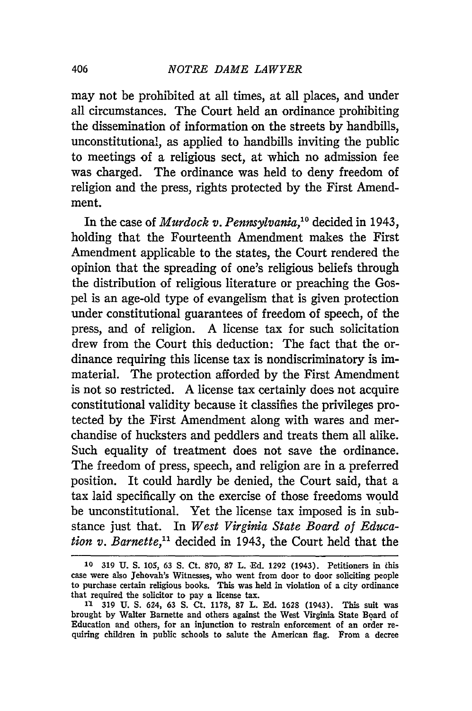may not be prohibited at all times, at all places, and under all circumstances. The Court held an ordinance prohibiting the dissemination of information on the streets by handbills, unconstitutional, as applied to handbills inviting the public to meetings of a religious sect, at which no admission fee was charged. The ordinance was held to deny freedom of religion and the press, rights protected by the First Amendment.

In the case of *Murdock v. Pennsylvania,"°* decided in 1943, holding that the Fourteenth Amendment makes the First Amendment applicable to the states, the Court rendered the opinion that the spreading of one's religious beliefs through the distribution of religious literature or preaching the Gospel is an age-old type of evangelism that is given protection under constitutional guarantees of freedom of speech, of the press, and of religion. A license tax for such solicitation drew from the Court this deduction: The fact that the ordinance requiring this license tax is nondiscriminatory is immaterial. The protection afforded by the First Amendment is not so restricted. A license tax certainly does not acquire constitutional validity because it classifies the privileges protected by the First Amendment along with wares and merchandise of hucksters and peddlers and treats them all alike. Such equality of treatment does not save the ordinance. The freedom of press, speech, and religion are in a preferred position. It could hardly be denied, the Court said, that a tax laid specifically on the exercise of those freedoms would be unconstitutional. Yet the license tax imposed is in substance just that. In *West Virginia State Board of Education v. Barnette,"* decided in 1943, the Court held that the

**<sup>10</sup>** 319 U. **S.** 105, 63 **S.** Ct. **870, 87** L. Ed. 1292 (1943). Petitioners in this case were also Jehovah's Witnesses, who went from door to door soliciting people to purchase certain religious books. This was held in violation of a city ordinance that required the solicitor to pay a license tax.

**<sup>11 319</sup> U. S.** 624, **63 S.** Ct. **1178, 87** L. **Ed.** 1628 (1943). This suit was brought **by** Walter Barnette and others against the West Virginia State Board of Education and others, for an injunction to restrain enforcement of an order requiring children in public schools to salute the American flag. From a decree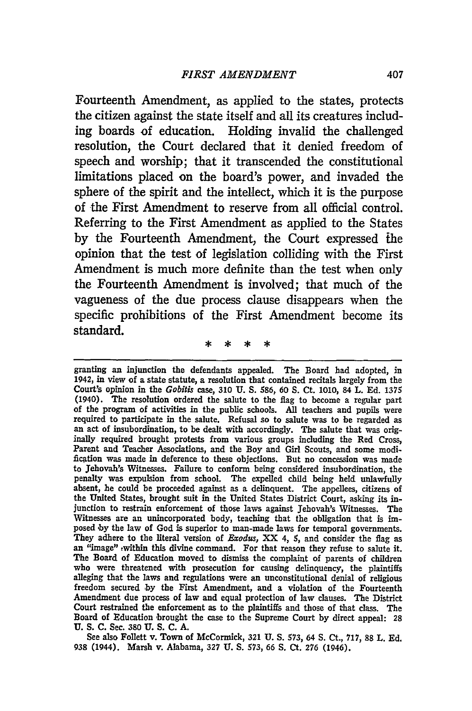Fourteenth Amendment, as applied to the states, protects the citizen against the state itself and all its creatures including boards of education. Holding invalid the challenged resolution, the Court declared that it denied freedom of speech and worship; that it transcended the constitutional limitations placed on the board's power, and invaded the sphere of the spirit and the intellect, which it is the purpose of the First Amendment to reserve from all official control. Referring to the First Amendment as applied to the States by the Fourteenth Amendment, the Court expressed *the* opinion that the test of legislation colliding with the First Amendment is much more definite than the test when only the Fourteenth Amendment is involved; that much of the vagueness of the due process clause disappears when the specific prohibitions of the First Amendment become its standard.

granting an injunction the defendants appealed. The Board had adopted, in 1942, in view of a state statute, a resolution that contained recitals largely from the Court's opinion in the *Gobitis case,* 310 **U.** S. 586, 60 S. Ct. 1010, 84 L. Ed. 1375 (1940). The resolution ordered the salute to the flag to become a regular part of the program of activities in the public schools. All teachers and pupils were required to participate in the salute. Refusal so to salute was to be regarded as an act of insubordination, to be dealt with accordingly. The salute that was originally required brought protests from various groups including the Red Cross, Parent and Teacher Associations, and the Boy and Girl Scouts, and some modification was made in deference to these objections. But no concession was made to Jehovah's Witnesses. Failure to conform being considered insubordination, the penalty was expulsion from school. The expelled child being held unlawfully absent, he could be proceeded against as a delinquent. The appellees, citizens of the United States, brought suit in the United States District Court, asking its injunction to restrain enforcement of those laws against Jehovah's Witnesses. The Witnesses are an unincorporated body, teaching that the obligation that is **im**posed **by** the law of God is superior to man-made laws for temporal governments. They adhere to the literal version of *Exodus,* XX 4, **5,** and consider the flag as an "image" ,within this divine command. For that reason they refuse to salute it. The Board of Education moved to dismiss the complaint of parents of children who were threatened with prosecution for causing delinquency, the plaintiffs alleging that the laws and regulations were an unconstitutional denial of religious freedom secured **by** the First Amendment, and a violation of the Fourteenth Amendment due process of law and equal protection of law clauses. The District Court restrained the enforcement as to the plaintiffs and those of that class. The Board of Education brought the case to the Supreme Court **by** direct appeal: **28 U. S. C.** Sec. **380 U. S. C. A.**

See also Follett v. Town of McCormick, **321 U. S. 573, 64 S. Ct., 717,** 88 L. **Ed. 938 (1944).** Marsh v. Alabama, **327 U. S. 573, 66 S. Ct. 276 (1946).**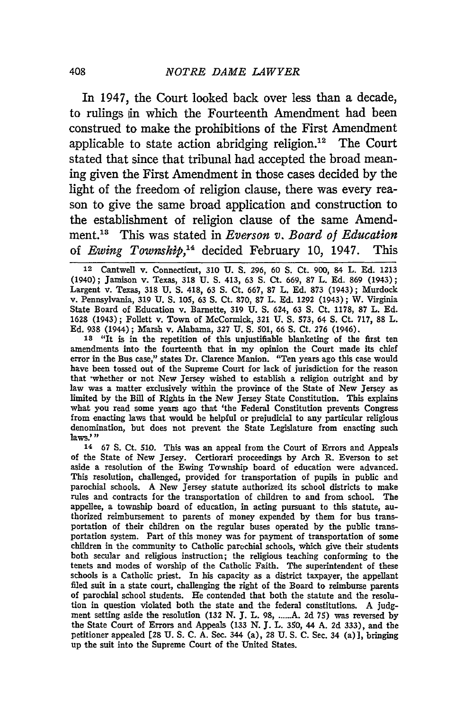In 1947, the Court looked back over less than a decade, to rulings in which the Fourteenth Amendment had been construed to make the prohibitions of the First Amendment applicable to state action abridging religion.<sup>12</sup> The Court stated that since that tribunal had accepted the broad meaning given the First Amendment in those cases decided by the light of the freedom of religion clause, there was every reason to give the same broad application and construction to the establishment of religion clause of the same Amendment.<sup>13</sup> This was stated in *Everson v. Board of Education* of *Ewing Township*,<sup>14</sup> decided February 10, 1947. This

**12** Cantwell v. Connecticut, 310 U. S. 296, 60 **S.** Ct. 900, 84 L. **Ed.** 1213 (1940); Jamison v. Texas, **318** U. **S.** 413, 63 **S.** Ct. 669, 87 L. **Ed.** 869 (1943); Largent v. Texas, 318 U. **S.** 418, 63 **S.** Ct. 667, **87** L. Ed. 873 (1943); Murdock v. Pennsylvania, 319 U. **S.** 105, 63 **S.** Ct. 870, 87 L. Ed. 1292 (1943); W. Virginia State Board of Education v. Barnette, 319 U. **S.** 624, 63 **S.** Ct. **1178, 87** L. **Ed.** 1628 (1943); Follett v. Town of McCormick, **321** U. **S.** 573, 64 **S.** Ct. **717,** 88 L. **Ed.** 938 (1944); Marsh v. Alabama, 327 **U. S.** 501, 66 **S.** Ct. **276** (1946).

**18** "It is in the repetition of this unjustifiable blanketing of the first ten amendments into the fourteenth that in my opinion the Court made its chief error in the Bus case," states Dr. Clarence Manion. "Ten years ago this case would have been tossed out of the Supreme Court for lack of jurisdiction for the reason that whether or not New Jersey wished to establish a religion outright and by law was a matter exclusively within the province of the State of New Jersey as limited by the Bill of Rights in the New Jersey State Constitution. This explains what you read some years ago that 'the Federal Constitution prevents Congress from enacting laws that would be helpful or prejudicial to any particular religious denomination, but does not prevent the State Legislature from enacting such laws."

<sup>14</sup>**67 S.** Ct. 510. This was an appeal from the Court of Errors and Appeals of the State of New Jersey. Certiorari proceedings by Arch R. Everson to set aside a resolution of the Ewing Township board of education were advanced. This resolution, challenged, provided for transportation of pupils in public and parochial schools. A New Jersey statute authorized its school districts to make rules and contracts for the transportation of children to and from school. The appellee, a township board of education, in acting pursuant to this statute, authorized reimbursement to parents of money expended by them for bus transportation of their children on the regular buses operated by the public transportation system. Part of this money was for payment of transportation of some children in the community to Catholic parochial schools, which give their students both secular and religious instruction; the religious teaching conforming to the tenets and modes of worship of the Catholic Faith. The superintendent of these schools is a Catholic priest. In his capacity as a district taxpayer, the appellant filed suit in a state court, challenging the right of the Board to reimburse parents of parochial school students. He contended that both the statute and the resolution in question violated both the state and the federal constitutions. A judgment setting aside the resolution (132 N. J. L. 98, ......A. 2d 75) was reversed by the State Court of Errors and Appeals (133 N. **J.** L. 350, 44 A. **2d** 333), and the petitioner appealed [28 U. S. C. A. Sec. 344 (a), 28 U. S. **C.** Sec. 34 (a)], bringing up the suit into the Supreme Court of the United States.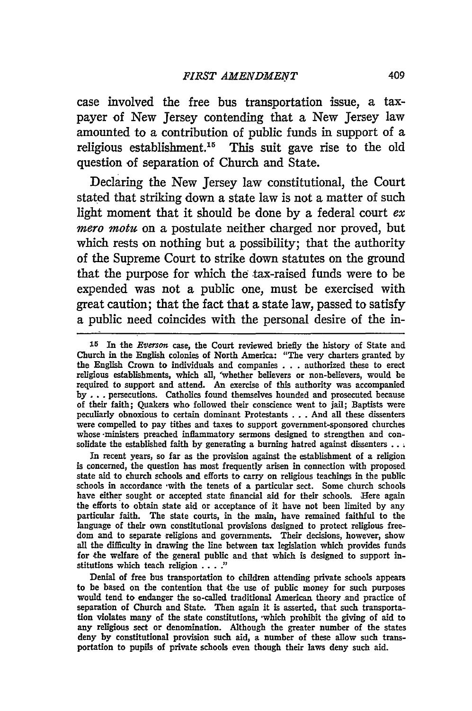case involved the free bus transportation issue, a taxpayer of New Jersey contending that a New Jersey law amounted to a contribution of public funds in support of a religious establishment.<sup>15</sup> This suit gave rise to the old question of separation of Church and State.

Declaring the New Jersey law constitutional, the Court stated that striking down a state law is not a matter of such light moment that it should be done **by** a federal court *ex mero motu* on a postulate neither charged nor proved, but which rests on nothing but a possibility; that the authority of the Supreme Court to strike down statutes on the ground that the purpose for which the tax-raised funds were to be expended was not a public one, must be exercised with great caution; that the fact that a state law, passed to satisfy a public need coincides with the personal desire of the in-

In recent years, so far as the provision against the establishment of a religion is concerned, the question has most frequently arisen in connection with proposed state aid to church schools and efforts to carry on religious teachings in the public schools in accordance -with the tenets of a particular sect. Some church schools have either sought or accepted state financial aid for their schools. Here again the efforts to obtain state aid or acceptance of it have not been limited by any particular faith. The state courts, in the main, have remained faithful to the language of their own constitutional provisions designed to protect religious freedom and to separate religions and governments. Their decisions, however, show all the difficulty in drawing the line between tax legislation which provides funds for the welfare of the general public and that which is designed to support institutions which teach religion .... **)**

Denial of free bus transportation to children attending private schools appears to be based on the contention that the use of public money for such purposes would tend to endanger the so-called traditional American theory .and practice of separation of Church and State. Then again it is asserted, that such transportation violates many of the state constitutions, -which prohibit the giving of aid to any religious sect or denomination. Although the greater number of the states deny **by** constitutional provision such aid, a number of these allow such transportation to pupils of private schools even though their laws deny such aid.

<sup>15</sup> In the *Eversmon* case, the Court reviewed briefly the history of State and Church in the English colonies of North America: "The very charters granted **by** the English Crown to individuals and companies . . .authorized these to erect religious establishments, which all, 'whether believers or non-believers, would be required to support and attend. *An* exercise of this authority was accompanied **by . .** .persecutions. Catholics found themselves hounded and prosecuted because of their faith; Quakers who followed their conscience went to jail; Baptists were peculiarly obnoxious to certain dominant Protestants ... And all these dissenters were compelled to pay tithes and taxes to support government-sponsored churches whose -ministers preached inflammatory sermons designed to strengthen and consolidate the established faith **by** generating a burning hatred against dissenters **..**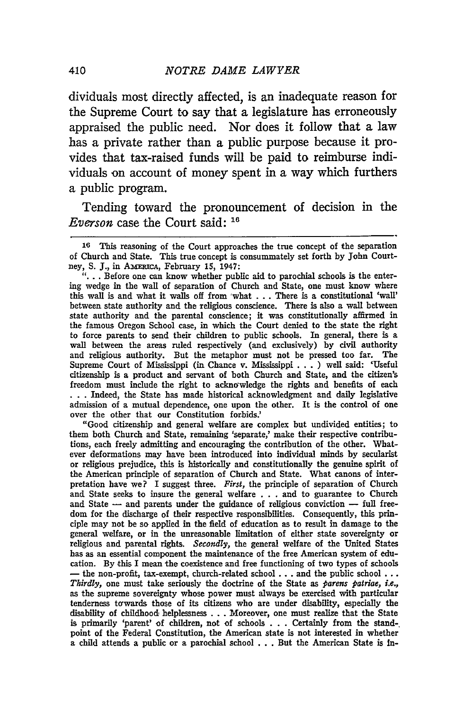dividuals most directly affected, is an inadequate reason for the Supreme Court to say that a legislature has erroneously appraised the public need. Nor does it follow that a law has a private rather than a public purpose because it provides that tax-raised funds will be paid to reimburse individuals on account of money spent in a way which furthers a public program.

Tending toward the pronouncement of decision in the *Everson* case the Court said: **16**

**"...** Before one can know whether public aid to parochial schools is the entering wedge in the wall of separation of Church and State, one must know where this wall is and what it walls off from 'what **. ..** There is a constitutional 'wall' between state authority and the religious conscience. There is also a wall between state authority and the parental conscience; it was constitutionally affirmed in the famous Oregon School case, in which the Court denied to the state the right to force parents to send their children to public schools. In general, there is a wall between the areas ruled respectively (and exclusively) **by** civil authority and religious authority. But the metaphor must not be pressed too far. The Supreme Court of Mississippi (in Chance v. Mississippi **. . . )** well said: 'Useful citizenship is a product and servant of both Church and State, and the citizen's freedom must include the right to acknowledge the rights and benefits of each **. . .** Indeed, the State has made historical acknowledgment and daily legislative admission of a mutual dependence, one upon the other. It is the control of one over the other that our Constitution forbids.'

"Good citizenship and general welfare are complex but undivided entities; to them both Church and State, remaining 'separate,' make their respective contributions, each freely admitting and encouraging the contribution of the other. Whatever deformations may have been introduced into individual minds **by** secularist or religious prejudice, this is historically and constitutionally the genuine spirit of the American principle of separation of Church and State. What canons of interpretation have we? I suggest three. *First,* the principle of separation of Church and State seeks to insure the general welfare **. . .** and to guarantee to Church and State  $-$  and parents under the guidance of religious conviction  $-$  full freedom for the discharge of their respective responsibilities. Consequently, this principle may not **be** so applied in the field of education as to result in damage to the general welfare, or in the unreasonable limitation of either state sovereignty or religious and parental rights. *Secondly,* the general welfare of the United States has as an essential component the maintenance of the free American system of education. **By** this I mean the coexistence and free functioning of two types of schools **-** the non-profit, tax-exempt, church-related school **...** and the public school **. ..** *Thirdly,* one must take seriously the doctrine of the State as *parens patriae, i.e.,* as the supreme sovereignty whose power must always be exercised with particular tenderness towards those of its citizens who are under disability, especially the disability of childhood, helplessness **...** Moreover, one must realize that the State is primarily 'parent' of children, not of schools **. . .** Certainly from the stand-, point of the Federal Constitution, the American state is not interested in whether a child attends a public or a parochial school **. . .** But the American State is In-

**<sup>16</sup>**This reasoning of the Court approaches the true concept of the separation of Church and State. This true concept is consummately set forth **by** John Courtney, S. J., in AMERICA, February 15, 1947: